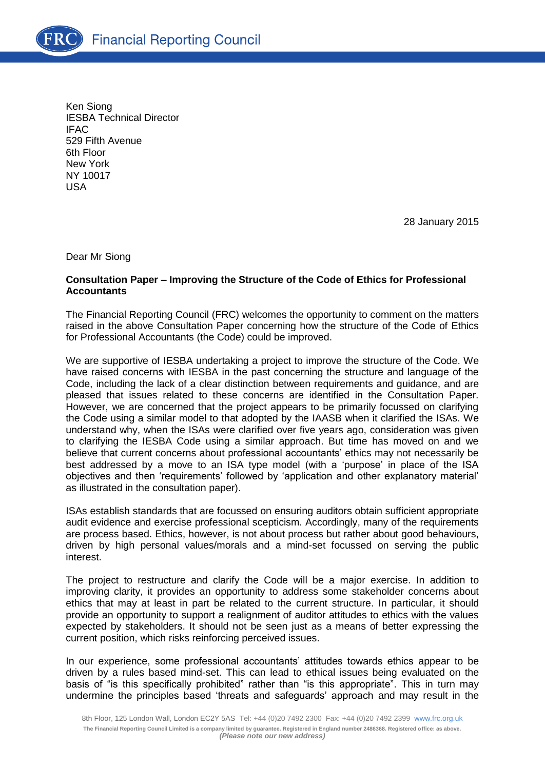Ken Siong IESBA Technical Director IFAC 529 Fifth Avenue 6th Floor New York NY 10017 USA

28 January 2015

Dear Mr Siong

# **Consultation Paper – Improving the Structure of the Code of Ethics for Professional Accountants**

The Financial Reporting Council (FRC) welcomes the opportunity to comment on the matters raised in the above Consultation Paper concerning how the structure of the Code of Ethics for Professional Accountants (the Code) could be improved.

We are supportive of IESBA undertaking a project to improve the structure of the Code. We have raised concerns with IESBA in the past concerning the structure and language of the Code, including the lack of a clear distinction between requirements and guidance, and are pleased that issues related to these concerns are identified in the Consultation Paper. However, we are concerned that the project appears to be primarily focussed on clarifying the Code using a similar model to that adopted by the IAASB when it clarified the ISAs. We understand why, when the ISAs were clarified over five years ago, consideration was given to clarifying the IESBA Code using a similar approach. But time has moved on and we believe that current concerns about professional accountants' ethics may not necessarily be best addressed by a move to an ISA type model (with a 'purpose' in place of the ISA objectives and then 'requirements' followed by 'application and other explanatory material' as illustrated in the consultation paper).

ISAs establish standards that are focussed on ensuring auditors obtain sufficient appropriate audit evidence and exercise professional scepticism. Accordingly, many of the requirements are process based. Ethics, however, is not about process but rather about good behaviours, driven by high personal values/morals and a mind-set focussed on serving the public interest.

The project to restructure and clarify the Code will be a major exercise. In addition to improving clarity, it provides an opportunity to address some stakeholder concerns about ethics that may at least in part be related to the current structure. In particular, it should provide an opportunity to support a realignment of auditor attitudes to ethics with the values expected by stakeholders. It should not be seen just as a means of better expressing the current position, which risks reinforcing perceived issues.

In our experience, some professional accountants' attitudes towards ethics appear to be driven by a rules based mind-set. This can lead to ethical issues being evaluated on the basis of "is this specifically prohibited" rather than "is this appropriate". This in turn may undermine the principles based 'threats and safeguards' approach and may result in the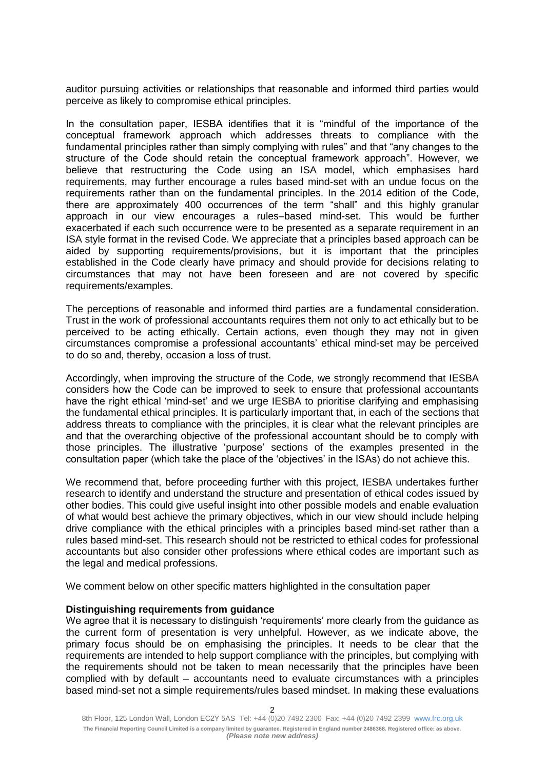auditor pursuing activities or relationships that reasonable and informed third parties would perceive as likely to compromise ethical principles.

In the consultation paper, IESBA identifies that it is "mindful of the importance of the conceptual framework approach which addresses threats to compliance with the fundamental principles rather than simply complying with rules" and that "any changes to the structure of the Code should retain the conceptual framework approach". However, we believe that restructuring the Code using an ISA model, which emphasises hard requirements, may further encourage a rules based mind-set with an undue focus on the requirements rather than on the fundamental principles. In the 2014 edition of the Code, there are approximately 400 occurrences of the term "shall" and this highly granular approach in our view encourages a rules–based mind-set. This would be further exacerbated if each such occurrence were to be presented as a separate requirement in an ISA style format in the revised Code. We appreciate that a principles based approach can be aided by supporting requirements/provisions, but it is important that the principles established in the Code clearly have primacy and should provide for decisions relating to circumstances that may not have been foreseen and are not covered by specific requirements/examples.

The perceptions of reasonable and informed third parties are a fundamental consideration. Trust in the work of professional accountants requires them not only to act ethically but to be perceived to be acting ethically. Certain actions, even though they may not in given circumstances compromise a professional accountants' ethical mind-set may be perceived to do so and, thereby, occasion a loss of trust.

Accordingly, when improving the structure of the Code, we strongly recommend that IESBA considers how the Code can be improved to seek to ensure that professional accountants have the right ethical 'mind-set' and we urge IESBA to prioritise clarifying and emphasising the fundamental ethical principles. It is particularly important that, in each of the sections that address threats to compliance with the principles, it is clear what the relevant principles are and that the overarching objective of the professional accountant should be to comply with those principles. The illustrative 'purpose' sections of the examples presented in the consultation paper (which take the place of the 'objectives' in the ISAs) do not achieve this.

We recommend that, before proceeding further with this project, IESBA undertakes further research to identify and understand the structure and presentation of ethical codes issued by other bodies. This could give useful insight into other possible models and enable evaluation of what would best achieve the primary objectives, which in our view should include helping drive compliance with the ethical principles with a principles based mind-set rather than a rules based mind-set. This research should not be restricted to ethical codes for professional accountants but also consider other professions where ethical codes are important such as the legal and medical professions.

We comment below on other specific matters highlighted in the consultation paper

## **Distinguishing requirements from guidance**

We agree that it is necessary to distinguish 'requirements' more clearly from the guidance as the current form of presentation is very unhelpful. However, as we indicate above, the primary focus should be on emphasising the principles. It needs to be clear that the requirements are intended to help support compliance with the principles, but complying with the requirements should not be taken to mean necessarily that the principles have been complied with by default – accountants need to evaluate circumstances with a principles based mind-set not a simple requirements/rules based mindset. In making these evaluations

<sup>2</sup>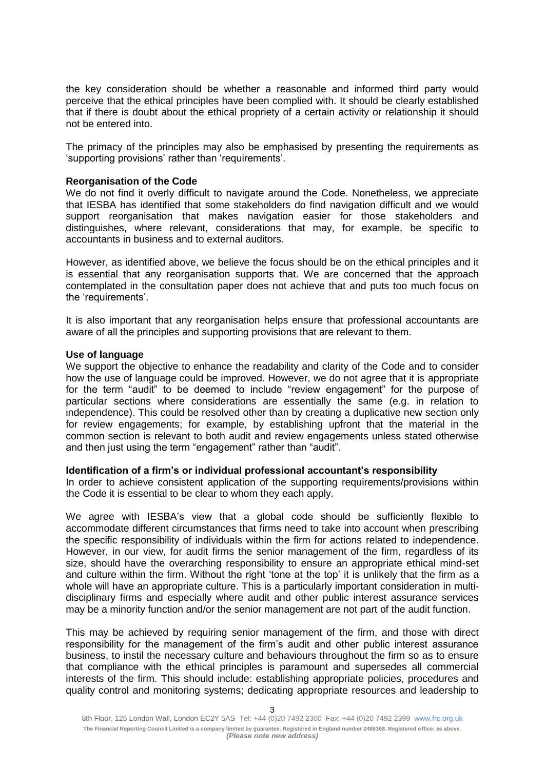the key consideration should be whether a reasonable and informed third party would perceive that the ethical principles have been complied with. It should be clearly established that if there is doubt about the ethical propriety of a certain activity or relationship it should not be entered into.

The primacy of the principles may also be emphasised by presenting the requirements as 'supporting provisions' rather than 'requirements'.

### **Reorganisation of the Code**

We do not find it overly difficult to navigate around the Code. Nonetheless, we appreciate that IESBA has identified that some stakeholders do find navigation difficult and we would support reorganisation that makes navigation easier for those stakeholders and distinguishes, where relevant, considerations that may, for example, be specific to accountants in business and to external auditors.

However, as identified above, we believe the focus should be on the ethical principles and it is essential that any reorganisation supports that. We are concerned that the approach contemplated in the consultation paper does not achieve that and puts too much focus on the 'requirements'.

It is also important that any reorganisation helps ensure that professional accountants are aware of all the principles and supporting provisions that are relevant to them.

#### **Use of language**

We support the objective to enhance the readability and clarity of the Code and to consider how the use of language could be improved. However, we do not agree that it is appropriate for the term "audit" to be deemed to include "review engagement" for the purpose of particular sections where considerations are essentially the same (e.g. in relation to independence). This could be resolved other than by creating a duplicative new section only for review engagements; for example, by establishing upfront that the material in the common section is relevant to both audit and review engagements unless stated otherwise and then just using the term "engagement" rather than "audit".

## **Identification of a firm's or individual professional accountant's responsibility**

In order to achieve consistent application of the supporting requirements/provisions within the Code it is essential to be clear to whom they each apply.

We agree with IESBA's view that a global code should be sufficiently flexible to accommodate different circumstances that firms need to take into account when prescribing the specific responsibility of individuals within the firm for actions related to independence. However, in our view, for audit firms the senior management of the firm, regardless of its size, should have the overarching responsibility to ensure an appropriate ethical mind-set and culture within the firm. Without the right 'tone at the top' it is unlikely that the firm as a whole will have an appropriate culture. This is a particularly important consideration in multidisciplinary firms and especially where audit and other public interest assurance services may be a minority function and/or the senior management are not part of the audit function.

This may be achieved by requiring senior management of the firm, and those with direct responsibility for the management of the firm's audit and other public interest assurance business, to instil the necessary culture and behaviours throughout the firm so as to ensure that compliance with the ethical principles is paramount and supersedes all commercial interests of the firm. This should include: establishing appropriate policies, procedures and quality control and monitoring systems; dedicating appropriate resources and leadership to

8th Floor, 125 London Wall, London EC2Y 5AS Tel: +44 (0)20 7492 2300 Fax: +44 (0)20 7492 2399 [www.frc.org.uk](http://www.frc.org.uk/) **The Financial Reporting Council Limited is a company limited by guarantee. Registered in England number 2486368. Registered office: as above.** *(Please note new address)*

3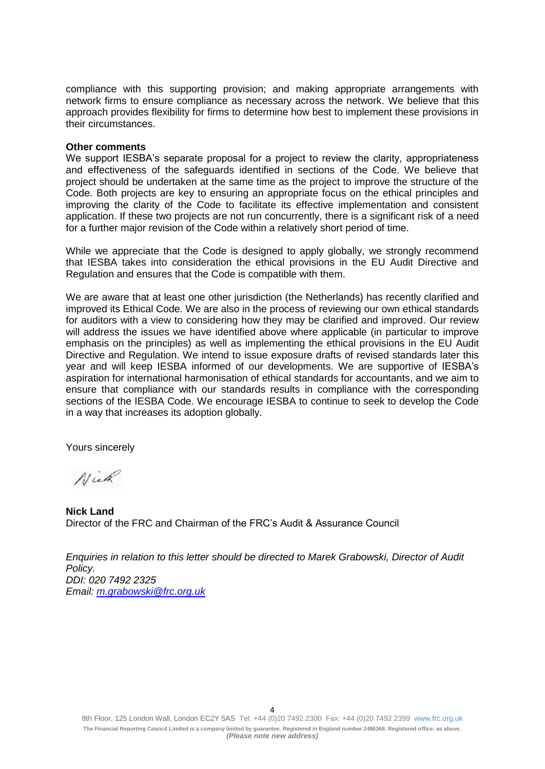compliance with this supporting provision; and making appropriate arrangements with network firms to ensure compliance as necessary across the network. We believe that this approach provides flexibility for firms to determine how best to implement these provisions in their circumstances.

### **Other comments**

We support IESBA's separate proposal for a project to review the clarity, appropriateness and effectiveness of the safeguards identified in sections of the Code. We believe that project should be undertaken at the same time as the project to improve the structure of the Code. Both projects are key to ensuring an appropriate focus on the ethical principles and improving the clarity of the Code to facilitate its effective implementation and consistent application. If these two projects are not run concurrently, there is a significant risk of a need for a further major revision of the Code within a relatively short period of time.

While we appreciate that the Code is designed to apply globally, we strongly recommend that IESBA takes into consideration the ethical provisions in the EU Audit Directive and Regulation and ensures that the Code is compatible with them.

We are aware that at least one other jurisdiction (the Netherlands) has recently clarified and improved its Ethical Code. We are also in the process of reviewing our own ethical standards for auditors with a view to considering how they may be clarified and improved. Our review will address the issues we have identified above where applicable (in particular to improve emphasis on the principles) as well as implementing the ethical provisions in the EU Audit Directive and Regulation. We intend to issue exposure drafts of revised standards later this year and will keep IESBA informed of our developments. We are supportive of IESBA's aspiration for international harmonisation of ethical standards for accountants, and we aim to ensure that compliance with our standards results in compliance with the corresponding sections of the IESBA Code. We encourage IESBA to continue to seek to develop the Code in a way that increases its adoption globally.

Yours sincerely

Nick

**Nick Land** Director of the FRC and Chairman of the FRC's Audit & Assurance Council

*Enquiries in relation to this letter should be directed to Marek Grabowski, Director of Audit Policy. DDI: 020 7492 2325 Email: [m.grabowski@frc.org.uk](mailto:m.grabowski@frc.org.uk)*